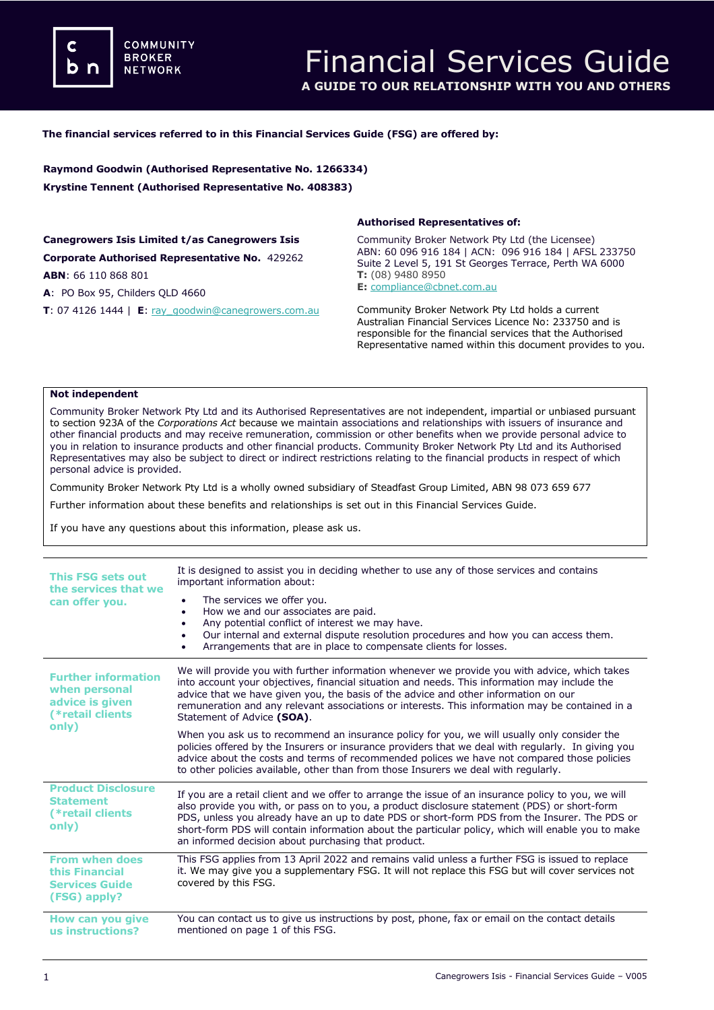**COMMUNITY BROKER NETWORK** 

## **The financial services referred to in this Financial Services Guide (FSG) are offered by:**

**Raymond Goodwin (Authorised Representative No. 1266334) Krystine Tennent (Authorised Representative No. 408383)**

**Canegrowers Isis Limited t/as Canegrowers Isis Corporate Authorised Representative No.** 429262 **ABN**: 66 110 868 801

**A**: PO Box 95, Childers QLD 4660

**T**: 07 4126 1444 | **E**: [ray\\_goodwin@canegrowers.com.au](mailto:ray_goodwin@canegrowers.com.au)

### **Authorised Representatives of:**

Community Broker Network Pty Ltd (the Licensee) ABN: 60 096 916 184 | ACN: 096 916 184 | AFSL 233750 Suite 2 Level 5, 191 St Georges Terrace, Perth WA 6000 **T:** (08) 9480 8950

**E:** [compliance@cbnet.com.au](mailto:queries@naswg.com.au) 

Community Broker Network Pty Ltd holds a current Australian Financial Services Licence No: 233750 and is responsible for the financial services that the Authorised Representative named within this document provides to you.

#### **Not independent**

Community Broker Network Pty Ltd and its Authorised Representatives are not independent, impartial or unbiased pursuant to section 923A of the *Corporations Act* because we maintain associations and relationships with issuers of insurance and other financial products and may receive remuneration, commission or other benefits when we provide personal advice to you in relation to insurance products and other financial products. Community Broker Network Pty Ltd and its Authorised Representatives may also be subject to direct or indirect restrictions relating to the financial products in respect of which personal advice is provided.

Community Broker Network Pty Ltd is a wholly owned subsidiary of Steadfast Group Limited, ABN 98 073 659 677

Further information about these benefits and relationships is set out in this Financial Services Guide.

If you have any questions about this information, please ask us.

| <b>This FSG sets out</b><br>the services that we<br>can offer you.                          | It is designed to assist you in deciding whether to use any of those services and contains<br>important information about:                                                                                                                                                                                                                                                                                                                                        |
|---------------------------------------------------------------------------------------------|-------------------------------------------------------------------------------------------------------------------------------------------------------------------------------------------------------------------------------------------------------------------------------------------------------------------------------------------------------------------------------------------------------------------------------------------------------------------|
|                                                                                             | The services we offer you.<br>How we and our associates are paid.<br>$\bullet$<br>Any potential conflict of interest we may have.<br>Our internal and external dispute resolution procedures and how you can access them.<br>Arrangements that are in place to compensate clients for losses.                                                                                                                                                                     |
| <b>Further information</b><br>when personal<br>advice is given<br>(*retail clients<br>only) | We will provide you with further information whenever we provide you with advice, which takes<br>into account your objectives, financial situation and needs. This information may include the<br>advice that we have given you, the basis of the advice and other information on our<br>remuneration and any relevant associations or interests. This information may be contained in a<br>Statement of Advice (SOA).                                            |
|                                                                                             | When you ask us to recommend an insurance policy for you, we will usually only consider the<br>policies offered by the Insurers or insurance providers that we deal with regularly. In giving you<br>advice about the costs and terms of recommended polices we have not compared those policies<br>to other policies available, other than from those Insurers we deal with regularly.                                                                           |
| <b>Product Disclosure</b><br><b>Statement</b><br>(*retail clients<br>only)                  | If you are a retail client and we offer to arrange the issue of an insurance policy to you, we will<br>also provide you with, or pass on to you, a product disclosure statement (PDS) or short-form<br>PDS, unless you already have an up to date PDS or short-form PDS from the Insurer. The PDS or<br>short-form PDS will contain information about the particular policy, which will enable you to make<br>an informed decision about purchasing that product. |
| <b>From when does</b><br>this Financial<br><b>Services Guide</b><br>(FSG) apply?            | This FSG applies from 13 April 2022 and remains valid unless a further FSG is issued to replace<br>it. We may give you a supplementary FSG. It will not replace this FSG but will cover services not<br>covered by this FSG.                                                                                                                                                                                                                                      |
| How can you give<br>us instructions?                                                        | You can contact us to give us instructions by post, phone, fax or email on the contact details<br>mentioned on page 1 of this FSG.                                                                                                                                                                                                                                                                                                                                |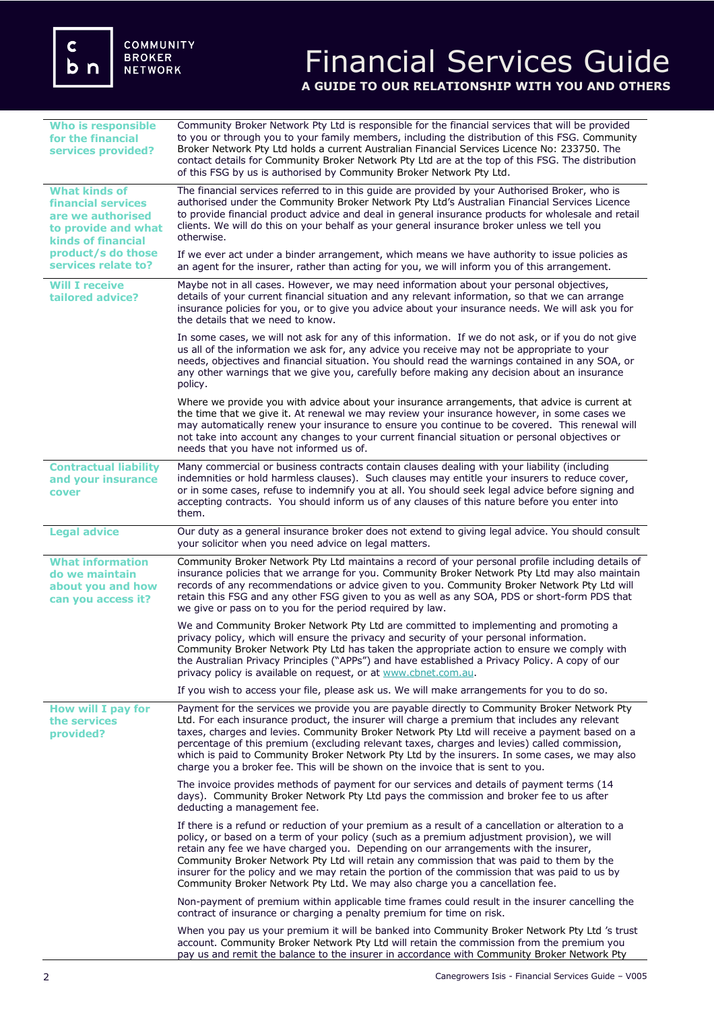# Financial Services Guide **A GUIDE TO OUR RELATIONSHIP WITH YOU AND OTHERS**

| <b>Who is responsible</b><br>for the financial<br>services provided?                                                                                                    | Community Broker Network Pty Ltd is responsible for the financial services that will be provided<br>to you or through you to your family members, including the distribution of this FSG. Community<br>Broker Network Pty Ltd holds a current Australian Financial Services Licence No: 233750. The<br>contact details for Community Broker Network Pty Ltd are at the top of this FSG. The distribution<br>of this FSG by us is authorised by Community Broker Network Pty Ltd.                                                                                                   |
|-------------------------------------------------------------------------------------------------------------------------------------------------------------------------|------------------------------------------------------------------------------------------------------------------------------------------------------------------------------------------------------------------------------------------------------------------------------------------------------------------------------------------------------------------------------------------------------------------------------------------------------------------------------------------------------------------------------------------------------------------------------------|
| <b>What kinds of</b><br><b>financial services</b><br>are we authorised<br>to provide and what<br><b>kinds of financial</b><br>product/s do those<br>services relate to? | The financial services referred to in this guide are provided by your Authorised Broker, who is<br>authorised under the Community Broker Network Pty Ltd's Australian Financial Services Licence<br>to provide financial product advice and deal in general insurance products for wholesale and retail<br>clients. We will do this on your behalf as your general insurance broker unless we tell you<br>otherwise.                                                                                                                                                               |
|                                                                                                                                                                         | If we ever act under a binder arrangement, which means we have authority to issue policies as<br>an agent for the insurer, rather than acting for you, we will inform you of this arrangement.                                                                                                                                                                                                                                                                                                                                                                                     |
| <b>Will I receive</b><br>tailored advice?                                                                                                                               | Maybe not in all cases. However, we may need information about your personal objectives,<br>details of your current financial situation and any relevant information, so that we can arrange<br>insurance policies for you, or to give you advice about your insurance needs. We will ask you for<br>the details that we need to know.                                                                                                                                                                                                                                             |
|                                                                                                                                                                         | In some cases, we will not ask for any of this information. If we do not ask, or if you do not give<br>us all of the information we ask for, any advice you receive may not be appropriate to your<br>needs, objectives and financial situation. You should read the warnings contained in any SOA, or<br>any other warnings that we give you, carefully before making any decision about an insurance<br>policy.                                                                                                                                                                  |
|                                                                                                                                                                         | Where we provide you with advice about your insurance arrangements, that advice is current at<br>the time that we give it. At renewal we may review your insurance however, in some cases we<br>may automatically renew your insurance to ensure you continue to be covered. This renewal will<br>not take into account any changes to your current financial situation or personal objectives or<br>needs that you have not informed us of.                                                                                                                                       |
| <b>Contractual liability</b><br>and your insurance<br>cover                                                                                                             | Many commercial or business contracts contain clauses dealing with your liability (including<br>indemnities or hold harmless clauses). Such clauses may entitle your insurers to reduce cover,<br>or in some cases, refuse to indemnify you at all. You should seek legal advice before signing and<br>accepting contracts. You should inform us of any clauses of this nature before you enter into<br>them.                                                                                                                                                                      |
| <b>Legal advice</b>                                                                                                                                                     | Our duty as a general insurance broker does not extend to giving legal advice. You should consult<br>your solicitor when you need advice on legal matters.                                                                                                                                                                                                                                                                                                                                                                                                                         |
| <b>What information</b><br>do we maintain<br>about you and how<br>can vou access it?                                                                                    | Community Broker Network Pty Ltd maintains a record of your personal profile including details of<br>insurance policies that we arrange for you. Community Broker Network Pty Ltd may also maintain<br>records of any recommendations or advice given to you. Community Broker Network Pty Ltd will<br>retain this FSG and any other FSG given to you as well as any SOA, PDS or short-form PDS that<br>we give or pass on to you for the period required by law.                                                                                                                  |
|                                                                                                                                                                         | We and Community Broker Network Pty Ltd are committed to implementing and promoting a<br>privacy policy, which will ensure the privacy and security of your personal information.<br>Community Broker Network Pty Ltd has taken the appropriate action to ensure we comply with<br>the Australian Privacy Principles ("APPs") and have established a Privacy Policy. A copy of our<br>privacy policy is available on request, or at www.cbnet.com.au.                                                                                                                              |
|                                                                                                                                                                         | If you wish to access your file, please ask us. We will make arrangements for you to do so.                                                                                                                                                                                                                                                                                                                                                                                                                                                                                        |
| How will I pay for<br>the services<br>provided?                                                                                                                         | Payment for the services we provide you are payable directly to Community Broker Network Pty<br>Ltd. For each insurance product, the insurer will charge a premium that includes any relevant<br>taxes, charges and levies. Community Broker Network Pty Ltd will receive a payment based on a<br>percentage of this premium (excluding relevant taxes, charges and levies) called commission,<br>which is paid to Community Broker Network Pty Ltd by the insurers. In some cases, we may also<br>charge you a broker fee. This will be shown on the invoice that is sent to you. |
|                                                                                                                                                                         | The invoice provides methods of payment for our services and details of payment terms (14<br>days). Community Broker Network Pty Ltd pays the commission and broker fee to us after<br>deducting a management fee.                                                                                                                                                                                                                                                                                                                                                                 |
|                                                                                                                                                                         | If there is a refund or reduction of your premium as a result of a cancellation or alteration to a<br>policy, or based on a term of your policy (such as a premium adjustment provision), we will<br>retain any fee we have charged you. Depending on our arrangements with the insurer,<br>Community Broker Network Pty Ltd will retain any commission that was paid to them by the<br>insurer for the policy and we may retain the portion of the commission that was paid to us by<br>Community Broker Network Pty Ltd. We may also charge you a cancellation fee.              |
|                                                                                                                                                                         | Non-payment of premium within applicable time frames could result in the insurer cancelling the<br>contract of insurance or charging a penalty premium for time on risk.                                                                                                                                                                                                                                                                                                                                                                                                           |
|                                                                                                                                                                         | When you pay us your premium it will be banked into Community Broker Network Pty Ltd 's trust<br>account. Community Broker Network Pty Ltd will retain the commission from the premium you<br>pay us and remit the balance to the insurer in accordance with Community Broker Network Pty                                                                                                                                                                                                                                                                                          |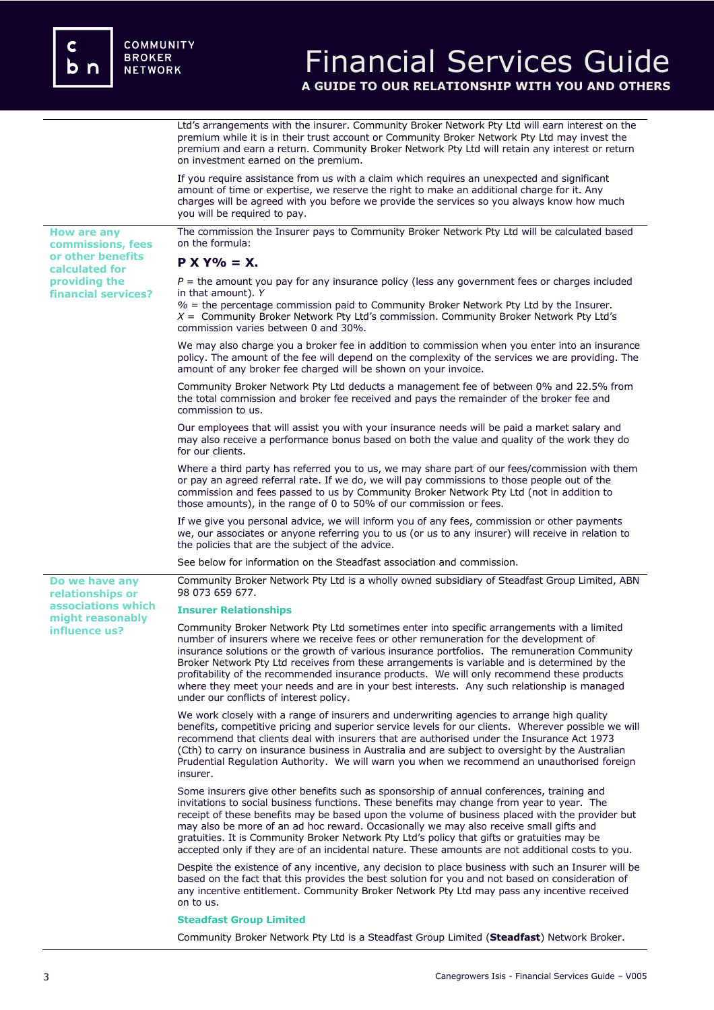**How are any commissions, fees or other benefits calculated for providing the financial services?**

**Do we have any relationships or associations which might reasonably influence us?** 

# Financial Services Guide **A GUIDE TO OUR RELATIONSHIP WITH YOU AND OTHERS**

Ltd's arrangements with the insurer. Community Broker Network Pty Ltd will earn interest on the premium while it is in their trust account or Community Broker Network Pty Ltd may invest the premium and earn a return. Community Broker Network Pty Ltd will retain any interest or return on investment earned on the premium.

If you require assistance from us with a claim which requires an unexpected and significant amount of time or expertise, we reserve the right to make an additional charge for it. Any charges will be agreed with you before we provide the services so you always know how much you will be required to pay.

The commission the Insurer pays to Community Broker Network Pty Ltd will be calculated based on the formula:

## **P X Y% = X.**

*P* = the amount you pay for any insurance policy (less any government fees or charges included in that amount). *Y*

*%* = the percentage commission paid to Community Broker Network Pty Ltd by the Insurer. *X* = Community Broker Network Pty Ltd's commission. Community Broker Network Pty Ltd's commission varies between 0 and 30%.

We may also charge you a broker fee in addition to commission when you enter into an insurance policy. The amount of the fee will depend on the complexity of the services we are providing. The amount of any broker fee charged will be shown on your invoice.

Community Broker Network Pty Ltd deducts a management fee of between 0% and 22.5% from the total commission and broker fee received and pays the remainder of the broker fee and commission to us.

Our employees that will assist you with your insurance needs will be paid a market salary and may also receive a performance bonus based on both the value and quality of the work they do for our clients.

Where a third party has referred you to us, we may share part of our fees/commission with them or pay an agreed referral rate. If we do, we will pay commissions to those people out of the commission and fees passed to us by Community Broker Network Pty Ltd (not in addition to those amounts), in the range of 0 to 50% of our commission or fees.

If we give you personal advice, we will inform you of any fees, commission or other payments we, our associates or anyone referring you to us (or us to any insurer) will receive in relation to the policies that are the subject of the advice.

See below for information on the Steadfast association and commission.

Community Broker Network Pty Ltd is a wholly owned subsidiary of Steadfast Group Limited, ABN 98 073 659 677.

### **Insurer Relationships**

Community Broker Network Pty Ltd sometimes enter into specific arrangements with a limited number of insurers where we receive fees or other remuneration for the development of insurance solutions or the growth of various insurance portfolios. The remuneration Community Broker Network Pty Ltd receives from these arrangements is variable and is determined by the profitability of the recommended insurance products. We will only recommend these products where they meet your needs and are in your best interests. Any such relationship is managed under our conflicts of interest policy.

We work closely with a range of insurers and underwriting agencies to arrange high quality benefits, competitive pricing and superior service levels for our clients. Wherever possible we will recommend that clients deal with insurers that are authorised under the Insurance Act 1973 (Cth) to carry on insurance business in Australia and are subject to oversight by the Australian Prudential Regulation Authority. We will warn you when we recommend an unauthorised foreign insurer.

Some insurers give other benefits such as sponsorship of annual conferences, training and invitations to social business functions. These benefits may change from year to year. The receipt of these benefits may be based upon the volume of business placed with the provider but may also be more of an ad hoc reward. Occasionally we may also receive small gifts and gratuities. It is Community Broker Network Pty Ltd's policy that gifts or gratuities may be accepted only if they are of an incidental nature. These amounts are not additional costs to you.

Despite the existence of any incentive, any decision to place business with such an Insurer will be based on the fact that this provides the best solution for you and not based on consideration of any incentive entitlement. Community Broker Network Pty Ltd may pass any incentive received on to us.

#### **Steadfast Group Limited**

Community Broker Network Pty Ltd is a Steadfast Group Limited (**Steadfast**) Network Broker.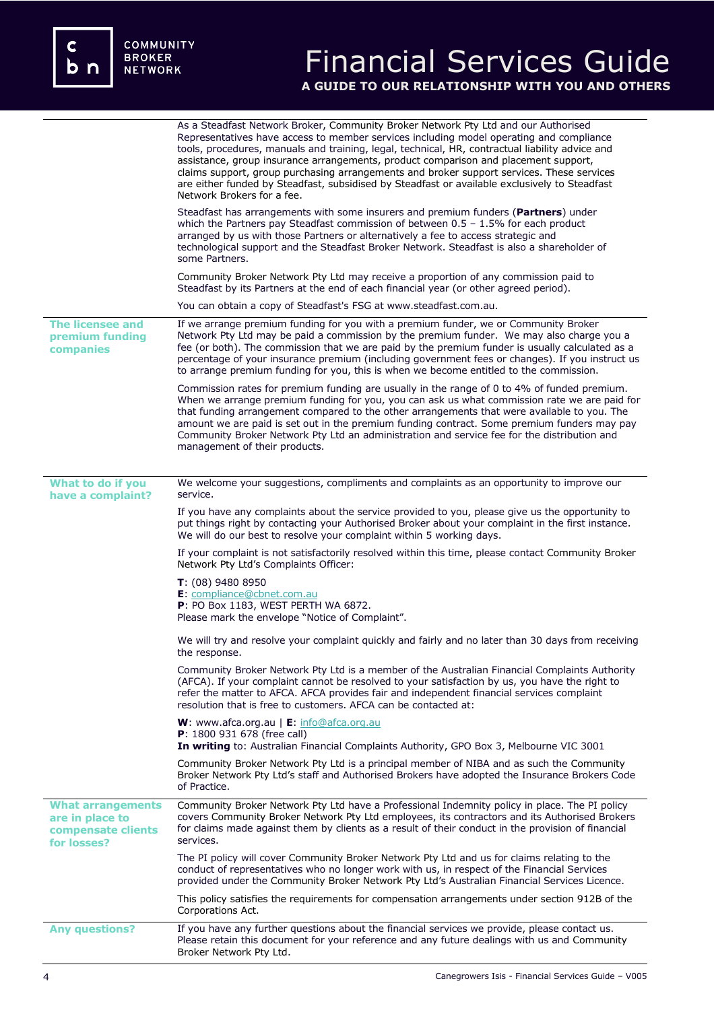c<br>b n

# Financial Services Guide **A GUIDE TO OUR RELATIONSHIP WITH YOU AND OTHERS**

|                                                                                  | As a Steadfast Network Broker, Community Broker Network Pty Ltd and our Authorised<br>Representatives have access to member services including model operating and compliance<br>tools, procedures, manuals and training, legal, technical, HR, contractual liability advice and<br>assistance, group insurance arrangements, product comparison and placement support,<br>claims support, group purchasing arrangements and broker support services. These services<br>are either funded by Steadfast, subsidised by Steadfast or available exclusively to Steadfast<br>Network Brokers for a fee. |
|----------------------------------------------------------------------------------|-----------------------------------------------------------------------------------------------------------------------------------------------------------------------------------------------------------------------------------------------------------------------------------------------------------------------------------------------------------------------------------------------------------------------------------------------------------------------------------------------------------------------------------------------------------------------------------------------------|
|                                                                                  | Steadfast has arrangements with some insurers and premium funders (Partners) under<br>which the Partners pay Steadfast commission of between $0.5 - 1.5\%$ for each product<br>arranged by us with those Partners or alternatively a fee to access strategic and<br>technological support and the Steadfast Broker Network. Steadfast is also a shareholder of<br>some Partners.                                                                                                                                                                                                                    |
|                                                                                  | Community Broker Network Pty Ltd may receive a proportion of any commission paid to<br>Steadfast by its Partners at the end of each financial year (or other agreed period).                                                                                                                                                                                                                                                                                                                                                                                                                        |
|                                                                                  | You can obtain a copy of Steadfast's FSG at www.steadfast.com.au.                                                                                                                                                                                                                                                                                                                                                                                                                                                                                                                                   |
| <b>The licensee and</b><br>premium funding<br>companies                          | If we arrange premium funding for you with a premium funder, we or Community Broker<br>Network Pty Ltd may be paid a commission by the premium funder. We may also charge you a<br>fee (or both). The commission that we are paid by the premium funder is usually calculated as a<br>percentage of your insurance premium (including government fees or changes). If you instruct us<br>to arrange premium funding for you, this is when we become entitled to the commission.                                                                                                                     |
|                                                                                  | Commission rates for premium funding are usually in the range of 0 to 4% of funded premium.<br>When we arrange premium funding for you, you can ask us what commission rate we are paid for<br>that funding arrangement compared to the other arrangements that were available to you. The<br>amount we are paid is set out in the premium funding contract. Some premium funders may pay<br>Community Broker Network Pty Ltd an administration and service fee for the distribution and<br>management of their products.                                                                           |
| What to do if you                                                                | We welcome your suggestions, compliments and complaints as an opportunity to improve our                                                                                                                                                                                                                                                                                                                                                                                                                                                                                                            |
| have a complaint?                                                                | service.                                                                                                                                                                                                                                                                                                                                                                                                                                                                                                                                                                                            |
|                                                                                  | If you have any complaints about the service provided to you, please give us the opportunity to<br>put things right by contacting your Authorised Broker about your complaint in the first instance.<br>We will do our best to resolve your complaint within 5 working days.                                                                                                                                                                                                                                                                                                                        |
|                                                                                  | If your complaint is not satisfactorily resolved within this time, please contact Community Broker<br>Network Pty Ltd's Complaints Officer:                                                                                                                                                                                                                                                                                                                                                                                                                                                         |
|                                                                                  | $T: (08)$ 9480 8950<br>E: compliance@cbnet.com.au<br>P: PO Box 1183, WEST PERTH WA 6872.<br>Please mark the envelope "Notice of Complaint".                                                                                                                                                                                                                                                                                                                                                                                                                                                         |
|                                                                                  | We will try and resolve your complaint quickly and fairly and no later than 30 days from receiving<br>the response.                                                                                                                                                                                                                                                                                                                                                                                                                                                                                 |
|                                                                                  | Community Broker Network Pty Ltd is a member of the Australian Financial Complaints Authority<br>(AFCA). If your complaint cannot be resolved to your satisfaction by us, you have the right to<br>refer the matter to AFCA. AFCA provides fair and independent financial services complaint<br>resolution that is free to customers. AFCA can be contacted at:                                                                                                                                                                                                                                     |
|                                                                                  | <b>W</b> : www.afca.org.au   $E$ : info@afca.org.au<br>P: 1800 931 678 (free call)<br>In writing to: Australian Financial Complaints Authority, GPO Box 3, Melbourne VIC 3001                                                                                                                                                                                                                                                                                                                                                                                                                       |
|                                                                                  | Community Broker Network Pty Ltd is a principal member of NIBA and as such the Community<br>Broker Network Pty Ltd's staff and Authorised Brokers have adopted the Insurance Brokers Code<br>of Practice.                                                                                                                                                                                                                                                                                                                                                                                           |
| <b>What arrangements</b><br>are in place to<br>compensate clients<br>for losses? | Community Broker Network Pty Ltd have a Professional Indemnity policy in place. The PI policy<br>covers Community Broker Network Pty Ltd employees, its contractors and its Authorised Brokers<br>for claims made against them by clients as a result of their conduct in the provision of financial<br>services.                                                                                                                                                                                                                                                                                   |
|                                                                                  | The PI policy will cover Community Broker Network Pty Ltd and us for claims relating to the<br>conduct of representatives who no longer work with us, in respect of the Financial Services<br>provided under the Community Broker Network Pty Ltd's Australian Financial Services Licence.                                                                                                                                                                                                                                                                                                          |
|                                                                                  | This policy satisfies the requirements for compensation arrangements under section 912B of the<br>Corporations Act.                                                                                                                                                                                                                                                                                                                                                                                                                                                                                 |
| <b>Any questions?</b>                                                            | If you have any further questions about the financial services we provide, please contact us.<br>Please retain this document for your reference and any future dealings with us and Community<br>Broker Network Pty Ltd.                                                                                                                                                                                                                                                                                                                                                                            |